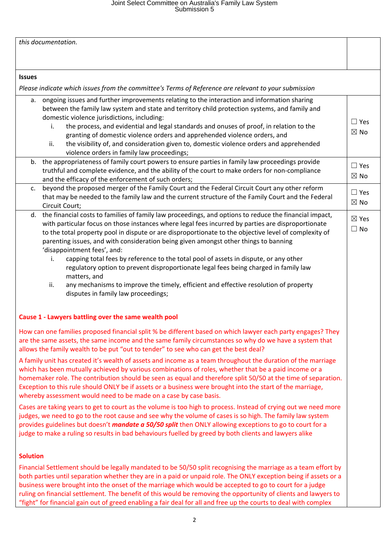| this documentation.                                                                                                                                                                                                                                                                                                                                                                                                                                                                                                                                                                                                                                                                                                                                                                            |                              |
|------------------------------------------------------------------------------------------------------------------------------------------------------------------------------------------------------------------------------------------------------------------------------------------------------------------------------------------------------------------------------------------------------------------------------------------------------------------------------------------------------------------------------------------------------------------------------------------------------------------------------------------------------------------------------------------------------------------------------------------------------------------------------------------------|------------------------------|
|                                                                                                                                                                                                                                                                                                                                                                                                                                                                                                                                                                                                                                                                                                                                                                                                |                              |
|                                                                                                                                                                                                                                                                                                                                                                                                                                                                                                                                                                                                                                                                                                                                                                                                |                              |
| <b>Issues</b>                                                                                                                                                                                                                                                                                                                                                                                                                                                                                                                                                                                                                                                                                                                                                                                  |                              |
| Please indicate which issues from the committee's Terms of Reference are relevant to your submission                                                                                                                                                                                                                                                                                                                                                                                                                                                                                                                                                                                                                                                                                           |                              |
| ongoing issues and further improvements relating to the interaction and information sharing<br>а.<br>between the family law system and state and territory child protection systems, and family and<br>domestic violence jurisdictions, including:<br>the process, and evidential and legal standards and onuses of proof, in relation to the<br>i.<br>granting of domestic violence orders and apprehended violence orders, and<br>the visibility of, and consideration given to, domestic violence orders and apprehended<br>ii.<br>violence orders in family law proceedings;                                                                                                                                                                                                               | $\Box$ Yes<br>$\boxtimes$ No |
| b. the appropriateness of family court powers to ensure parties in family law proceedings provide<br>truthful and complete evidence, and the ability of the court to make orders for non-compliance                                                                                                                                                                                                                                                                                                                                                                                                                                                                                                                                                                                            | $\square$ Yes                |
| and the efficacy of the enforcement of such orders;                                                                                                                                                                                                                                                                                                                                                                                                                                                                                                                                                                                                                                                                                                                                            | $\boxtimes$ No               |
| beyond the proposed merger of the Family Court and the Federal Circuit Court any other reform<br>$\mathsf{C}$ .<br>that may be needed to the family law and the current structure of the Family Court and the Federal<br>Circuit Court;                                                                                                                                                                                                                                                                                                                                                                                                                                                                                                                                                        | $\Box$ Yes<br>$\boxtimes$ No |
| the financial costs to families of family law proceedings, and options to reduce the financial impact,<br>d.<br>with particular focus on those instances where legal fees incurred by parties are disproportionate<br>to the total property pool in dispute or are disproportionate to the objective level of complexity of<br>parenting issues, and with consideration being given amongst other things to banning<br>'disappointment fees', and:<br>capping total fees by reference to the total pool of assets in dispute, or any other<br>i.<br>regulatory option to prevent disproportionate legal fees being charged in family law<br>matters, and<br>any mechanisms to improve the timely, efficient and effective resolution of property<br>ii.<br>disputes in family law proceedings; | ⊠ Yes<br>$\Box$ No           |
| Cause 1 - Lawyers battling over the same wealth pool                                                                                                                                                                                                                                                                                                                                                                                                                                                                                                                                                                                                                                                                                                                                           |                              |
| How can one families proposed financial split % be different based on which lawyer each party engages? They<br>are the same assets, the same income and the same family circumstances so why do we have a system that<br>allows the family wealth to be put "out to tender" to see who can get the best deal?                                                                                                                                                                                                                                                                                                                                                                                                                                                                                  |                              |
| A family unit has created it's wealth of assets and income as a team throughout the duration of the marriage<br>which has been mutually achieved by various combinations of roles, whether that be a paid income or a<br>homemaker role. The contribution should be seen as equal and therefore split 50/50 at the time of separation.<br>Exception to this rule should ONLY be if assets or a business were brought into the start of the marriage,<br>whereby assessment would need to be made on a case by case basis.                                                                                                                                                                                                                                                                      |                              |
| Cases are taking years to get to court as the volume is too high to process. Instead of crying out we need more<br>judges, we need to go to the root cause and see why the volume of cases is so high. The family law system<br>provides guidelines but doesn't <i>mandate a 50/50 split</i> then ONLY allowing exceptions to go to court for a<br>judge to make a ruling so results in bad behaviours fuelled by greed by both clients and lawyers alike                                                                                                                                                                                                                                                                                                                                      |                              |
| <b>Solution</b>                                                                                                                                                                                                                                                                                                                                                                                                                                                                                                                                                                                                                                                                                                                                                                                |                              |
| Financial Settlement should be legally mandated to be 50/50 split recognising the marriage as a team effort by<br>both parties until separation whether they are in a paid or unpaid role. The ONLY exception being if assets or a<br>business were brought into the onset of the marriage which would be accepted to go to court for a judge<br>ruling on financial settlement. The benefit of this would be removing the opportunity of clients and lawyers to<br>"fight" for financial gain out of greed enabling a fair deal for all and free up the courts to deal with complex                                                                                                                                                                                                           |                              |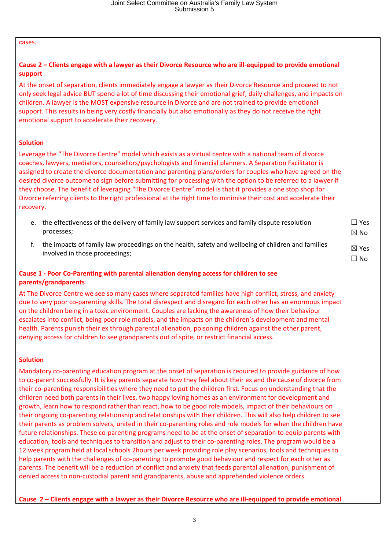| cases.                                                                                                                                                                                                                                                                                                                                                                                                                                                                                                                                                                                                                                                                                                                                                                                                                                                                                                                                                                                                                                                                                                                                                                                                                                                                                                                                                                                                                                                                                             |                              |
|----------------------------------------------------------------------------------------------------------------------------------------------------------------------------------------------------------------------------------------------------------------------------------------------------------------------------------------------------------------------------------------------------------------------------------------------------------------------------------------------------------------------------------------------------------------------------------------------------------------------------------------------------------------------------------------------------------------------------------------------------------------------------------------------------------------------------------------------------------------------------------------------------------------------------------------------------------------------------------------------------------------------------------------------------------------------------------------------------------------------------------------------------------------------------------------------------------------------------------------------------------------------------------------------------------------------------------------------------------------------------------------------------------------------------------------------------------------------------------------------------|------------------------------|
| Cause 2 - Clients engage with a lawyer as their Divorce Resource who are ill-equipped to provide emotional<br>support                                                                                                                                                                                                                                                                                                                                                                                                                                                                                                                                                                                                                                                                                                                                                                                                                                                                                                                                                                                                                                                                                                                                                                                                                                                                                                                                                                              |                              |
| At the onset of separation, clients immediately engage a lawyer as their Divorce Resource and proceed to not<br>only seek legal advice BUT spend a lot of time discussing their emotional grief, daily challenges, and impacts on<br>children. A lawyer is the MOST expensive resource in Divorce and are not trained to provide emotional<br>support. This results in being very costly financially but also emotionally as they do not receive the right<br>emotional support to accelerate their recovery.                                                                                                                                                                                                                                                                                                                                                                                                                                                                                                                                                                                                                                                                                                                                                                                                                                                                                                                                                                                      |                              |
| <b>Solution</b>                                                                                                                                                                                                                                                                                                                                                                                                                                                                                                                                                                                                                                                                                                                                                                                                                                                                                                                                                                                                                                                                                                                                                                                                                                                                                                                                                                                                                                                                                    |                              |
| Leverage the "The Divorce Centre" model which exists as a virtual centre with a national team of divorce<br>coaches, lawyers, mediators, counsellors/psychologists and financial planners. A Separation Facilitator is<br>assigned to create the divorce documentation and parenting plans/orders for couples who have agreed on the<br>desired divorce outcome to sign before submitting for processing with the option to be referred to a lawyer if<br>they choose. The benefit of leveraging "The Divorce Centre" model is that it provides a one stop shop for<br>Divorce referring clients to the right professional at the right time to minimise their cost and accelerate their<br>recovery.                                                                                                                                                                                                                                                                                                                                                                                                                                                                                                                                                                                                                                                                                                                                                                                              |                              |
| e. the effectiveness of the delivery of family law support services and family dispute resolution<br>processes;                                                                                                                                                                                                                                                                                                                                                                                                                                                                                                                                                                                                                                                                                                                                                                                                                                                                                                                                                                                                                                                                                                                                                                                                                                                                                                                                                                                    | $\Box$ Yes<br>$\boxtimes$ No |
| the impacts of family law proceedings on the health, safety and wellbeing of children and families<br>f.<br>involved in those proceedings;                                                                                                                                                                                                                                                                                                                                                                                                                                                                                                                                                                                                                                                                                                                                                                                                                                                                                                                                                                                                                                                                                                                                                                                                                                                                                                                                                         | $\boxtimes$ Yes<br>$\Box$ No |
| Cause 1 - Poor Co-Parenting with parental alienation denying access for children to see<br>parents/grandparents                                                                                                                                                                                                                                                                                                                                                                                                                                                                                                                                                                                                                                                                                                                                                                                                                                                                                                                                                                                                                                                                                                                                                                                                                                                                                                                                                                                    |                              |
| At The Divorce Centre we see so many cases where separated families have high conflict, stress, and anxiety<br>due to very poor co-parenting skills. The total disrespect and disregard for each other has an enormous impact<br>on the children being in a toxic environment. Couples are lacking the awareness of how their behaviour<br>escalates into conflict, being poor role models, and the impacts on the children's development and mental<br>health. Parents punish their ex through parental alienation, poisoning children against the other parent,<br>denying access for children to see grandparents out of spite, or restrict financial access.                                                                                                                                                                                                                                                                                                                                                                                                                                                                                                                                                                                                                                                                                                                                                                                                                                   |                              |
| <b>Solution</b>                                                                                                                                                                                                                                                                                                                                                                                                                                                                                                                                                                                                                                                                                                                                                                                                                                                                                                                                                                                                                                                                                                                                                                                                                                                                                                                                                                                                                                                                                    |                              |
| Mandatory co-parenting education program at the onset of separation is required to provide guidance of how<br>to co-parent successfully. It is key parents separate how they feel about their ex and the cause of divorce from<br>their co-parenting responsibilities where they need to put the children first. Focus on understanding that the<br>children need both parents in their lives, two happy loving homes as an environment for development and<br>growth, learn how to respond rather than react, how to be good role models, impact of their behaviours on<br>their ongoing co-parenting relationship and relationships with their children. This will also help children to see<br>their parents as problem solvers, united in their co-parenting roles and role models for when the children have<br>future relationships. These co-parenting programs need to be at the onset of separation to equip parents with<br>education, tools and techniques to transition and adjust to their co-parenting roles. The program would be a<br>12 week program held at local schools 2hours per week providing role play scenarios, tools and techniques to<br>help parents with the challenges of co-parenting to promote good behaviour and respect for each other as<br>parents. The benefit will be a reduction of conflict and anxiety that feeds parental alienation, punishment of<br>denied access to non-custodial parent and grandparents, abuse and apprehended violence orders. |                              |
| Cause 2 - Clients engage with a lawyer as their Divorce Resource who are ill-equipped to provide emotional                                                                                                                                                                                                                                                                                                                                                                                                                                                                                                                                                                                                                                                                                                                                                                                                                                                                                                                                                                                                                                                                                                                                                                                                                                                                                                                                                                                         |                              |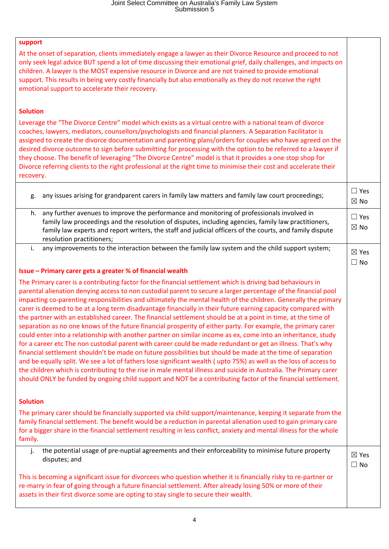٦

┓

#### **support**

| <b>Support</b>                                                                                                                                                                                                                                                                                                                                                                                                                                                                                                                                                                                                                                                                                        |                              |
|-------------------------------------------------------------------------------------------------------------------------------------------------------------------------------------------------------------------------------------------------------------------------------------------------------------------------------------------------------------------------------------------------------------------------------------------------------------------------------------------------------------------------------------------------------------------------------------------------------------------------------------------------------------------------------------------------------|------------------------------|
| At the onset of separation, clients immediately engage a lawyer as their Divorce Resource and proceed to not<br>only seek legal advice BUT spend a lot of time discussing their emotional grief, daily challenges, and impacts on<br>children. A lawyer is the MOST expensive resource in Divorce and are not trained to provide emotional<br>support. This results in being very costly financially but also emotionally as they do not receive the right<br>emotional support to accelerate their recovery.                                                                                                                                                                                         |                              |
| <b>Solution</b>                                                                                                                                                                                                                                                                                                                                                                                                                                                                                                                                                                                                                                                                                       |                              |
| Leverage the "The Divorce Centre" model which exists as a virtual centre with a national team of divorce<br>coaches, lawyers, mediators, counsellors/psychologists and financial planners. A Separation Facilitator is<br>assigned to create the divorce documentation and parenting plans/orders for couples who have agreed on the<br>desired divorce outcome to sign before submitting for processing with the option to be referred to a lawyer if<br>they choose. The benefit of leveraging "The Divorce Centre" model is that it provides a one stop shop for<br>Divorce referring clients to the right professional at the right time to minimise their cost and accelerate their<br>recovery. |                              |
| any issues arising for grandparent carers in family law matters and family law court proceedings;<br>g.                                                                                                                                                                                                                                                                                                                                                                                                                                                                                                                                                                                               | $\Box$ Yes<br>$\boxtimes$ No |
| h. any further avenues to improve the performance and monitoring of professionals involved in                                                                                                                                                                                                                                                                                                                                                                                                                                                                                                                                                                                                         | $\Box$ Yes                   |
| family law proceedings and the resolution of disputes, including agencies, family law practitioners,<br>family law experts and report writers, the staff and judicial officers of the courts, and family dispute                                                                                                                                                                                                                                                                                                                                                                                                                                                                                      | $\boxtimes$ No               |
| resolution practitioners;                                                                                                                                                                                                                                                                                                                                                                                                                                                                                                                                                                                                                                                                             |                              |
| any improvements to the interaction between the family law system and the child support system;<br>i.                                                                                                                                                                                                                                                                                                                                                                                                                                                                                                                                                                                                 | $\boxtimes$ Yes              |
|                                                                                                                                                                                                                                                                                                                                                                                                                                                                                                                                                                                                                                                                                                       | $\Box$ No                    |
| Issue - Primary carer gets a greater % of financial wealth                                                                                                                                                                                                                                                                                                                                                                                                                                                                                                                                                                                                                                            |                              |
| The Primary carer is a contributing factor for the financial settlement which is driving bad behaviours in                                                                                                                                                                                                                                                                                                                                                                                                                                                                                                                                                                                            |                              |
| parental alienation denying access to non custodial parent to secure a larger percentage of the financial pool                                                                                                                                                                                                                                                                                                                                                                                                                                                                                                                                                                                        |                              |
| impacting co-parenting responsibilities and ultimately the mental health of the children. Generally the primary<br>carer is deemed to be at a long term disadvantage financially in their future earning capacity compared with                                                                                                                                                                                                                                                                                                                                                                                                                                                                       |                              |
| the partner with an established career. The financial settlement should be at a point in time, at the time of                                                                                                                                                                                                                                                                                                                                                                                                                                                                                                                                                                                         |                              |
| separation as no one knows of the future financial prosperity of either party. For example, the primary carer                                                                                                                                                                                                                                                                                                                                                                                                                                                                                                                                                                                         |                              |
| could enter into a relationship with another partner on similar income as ex, come into an inheritance, study                                                                                                                                                                                                                                                                                                                                                                                                                                                                                                                                                                                         |                              |
| for a career etc The non custodial parent with career could be made redundant or get an illness. That's why                                                                                                                                                                                                                                                                                                                                                                                                                                                                                                                                                                                           |                              |
| financial settlement shouldn't be made on future possibilities but should be made at the time of separation                                                                                                                                                                                                                                                                                                                                                                                                                                                                                                                                                                                           |                              |
| and be equally split. We see a lot of fathers lose significant wealth (upto 75%) as well as the loss of access to<br>the children which is contributing to the rise in male mental illness and suicide in Australia. The Primary carer                                                                                                                                                                                                                                                                                                                                                                                                                                                                |                              |
| should ONLY be funded by ongoing child support and NOT be a contributing factor of the financial settlement.                                                                                                                                                                                                                                                                                                                                                                                                                                                                                                                                                                                          |                              |
|                                                                                                                                                                                                                                                                                                                                                                                                                                                                                                                                                                                                                                                                                                       |                              |
| <b>Solution</b>                                                                                                                                                                                                                                                                                                                                                                                                                                                                                                                                                                                                                                                                                       |                              |
| The primary carer should be financially supported via child support/maintenance, keeping it separate from the                                                                                                                                                                                                                                                                                                                                                                                                                                                                                                                                                                                         |                              |
| family financial settlement. The benefit would be a reduction in parental alienation used to gain primary care                                                                                                                                                                                                                                                                                                                                                                                                                                                                                                                                                                                        |                              |
| for a bigger share in the financial settlement resulting in less conflict, anxiety and mental illness for the whole<br>family.                                                                                                                                                                                                                                                                                                                                                                                                                                                                                                                                                                        |                              |
| the potential usage of pre-nuptial agreements and their enforceability to minimise future property<br>j.                                                                                                                                                                                                                                                                                                                                                                                                                                                                                                                                                                                              | $\boxtimes$ Yes              |
| disputes; and                                                                                                                                                                                                                                                                                                                                                                                                                                                                                                                                                                                                                                                                                         | $\Box$ No                    |
|                                                                                                                                                                                                                                                                                                                                                                                                                                                                                                                                                                                                                                                                                                       |                              |
| This is becoming a significant issue for divorcees who question whether it is financially risky to re-partner or<br>re-marry in fear of going through a future financial settlement. After already losing 50% or more of their                                                                                                                                                                                                                                                                                                                                                                                                                                                                        |                              |
| assets in their first divorce some are opting to stay single to secure their wealth.                                                                                                                                                                                                                                                                                                                                                                                                                                                                                                                                                                                                                  |                              |
|                                                                                                                                                                                                                                                                                                                                                                                                                                                                                                                                                                                                                                                                                                       |                              |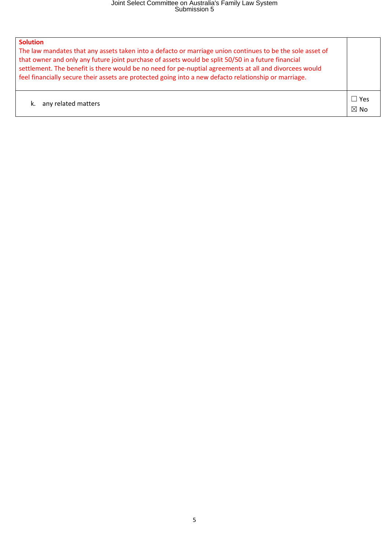| <b>Solution</b><br>The law mandates that any assets taken into a defacto or marriage union continues to be the sole asset of<br>that owner and only any future joint purchase of assets would be split 50/50 in a future financial<br>settlement. The benefit is there would be no need for pe-nuptial agreements at all and divorcees would<br>feel financially secure their assets are protected going into a new defacto relationship or marriage. |                |
|-------------------------------------------------------------------------------------------------------------------------------------------------------------------------------------------------------------------------------------------------------------------------------------------------------------------------------------------------------------------------------------------------------------------------------------------------------|----------------|
| any related matters                                                                                                                                                                                                                                                                                                                                                                                                                                   | l Yes          |
| k.                                                                                                                                                                                                                                                                                                                                                                                                                                                    | $\boxtimes$ No |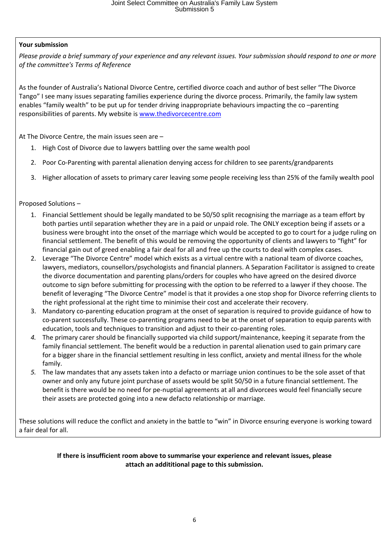### **Your submission**

Please provide a brief summary of your experience and any relevant issues. Your submission should respond to one or more *of the committee's Terms of Reference*

As the founder of Australia's National Divorce Centre, certified divorce coach and author of best seller "The Divorce Tango" I see many issues separating families experience during the divorce process. Primarily, the family law system enables "family wealth" to be put up for tender driving inappropriate behaviours impacting the co –parenting responsibilities of parents. My website is www.thedivorcecentre.com

At The Divorce Centre, the main issues seen are –

- 1. High Cost of Divorce due to lawyers battling over the same wealth pool
- 2. Poor Co-Parenting with parental alienation denying access for children to see parents/grandparents
- 3. Higher allocation of assets to primary carer leaving some people receiving less than 25% of the family wealth pool

Proposed Solutions –

- 1. Financial Settlement should be legally mandated to be 50/50 split recognising the marriage as a team effort by both parties until separation whether they are in a paid or unpaid role. The ONLY exception being if assets or a business were brought into the onset of the marriage which would be accepted to go to court for a judge ruling on financial settlement. The benefit of this would be removing the opportunity of clients and lawyers to "fight" for financial gain out of greed enabling a fair deal for all and free up the courts to deal with complex cases.
- 2. Leverage "The Divorce Centre" model which exists as a virtual centre with a national team of divorce coaches, lawyers, mediators, counsellors/psychologists and financial planners. A Separation Facilitator is assigned to create the divorce documentation and parenting plans/orders for couples who have agreed on the desired divorce outcome to sign before submitting for processing with the option to be referred to a lawyer if they choose. The benefit of leveraging "The Divorce Centre" model is that it provides a one stop shop for Divorce referring clients to the right professional at the right time to minimise their cost and accelerate their recovery.
- 3. Mandatory co-parenting education program at the onset of separation is required to provide guidance of how to co-parent successfully. These co-parenting programs need to be at the onset of separation to equip parents with education, tools and techniques to transition and adjust to their co-parenting roles.
- *4.* The primary carer should be financially supported via child support/maintenance, keeping it separate from the family financial settlement. The benefit would be a reduction in parental alienation used to gain primary care for a bigger share in the financial settlement resulting in less conflict, anxiety and mental illness for the whole family.
- *5.* The law mandates that any assets taken into a defacto or marriage union continues to be the sole asset of that owner and only any future joint purchase of assets would be split 50/50 in a future financial settlement. The benefit is there would be no need for pe-nuptial agreements at all and divorcees would feel financially secure their assets are protected going into a new defacto relationship or marriage.

These solutions will reduce the conflict and anxiety in the battle to "win" in Divorce ensuring everyone is working toward a fair deal for all.

#### **If there is insufficient room above to summarise your experience and relevant issues, please attach an addititional page to this submission.**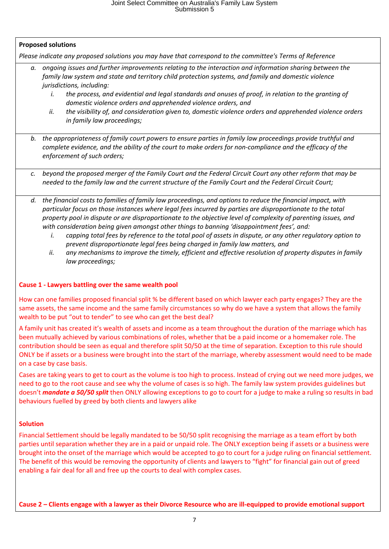#### **Proposed solutions**

*Please indicate any proposed solutions you may have that correspond to the committee's Terms of Reference*

- *a. ongoing issues and further improvements relating to the interaction and information sharing between the family law system and state and territory child protection systems, and family and domestic violence jurisdictions, including:*
	- i. the process, and evidential and legal standards and onuses of proof, in relation to the granting of *domestic violence orders and apprehended violence orders, and*
	- *ii. the visibility of, and consideration given to, domestic violence orders and apprehended violence orders in family law proceedings;*

the appropriateness of family court powers to ensure parties in family law proceedings provide truthful and complete evidence, and the ability of the court to make orders for non-compliance and the efficacy of the *enforcement of such orders;*

- c. beyond the proposed merger of the Family Court and the Federal Circuit Court any other reform that may be needed to the family law and the current structure of the Family Court and the Federal Circuit Court;
- d. the financial costs to families of family law proceedings, and options to reduce the financial impact, with *particular focus on those instances where legal fees incurred by parties are disproportionate to the total* property pool in dispute or are disproportionate to the objective level of complexity of parenting issues, and *with consideration being given amongst other things to banning 'disappointment fees', and:*
	- i. capping total fees by reference to the total pool of assets in dispute, or any other regulatory option to *prevent disproportionate legal fees being charged in family law matters, and*
	- *ii. any mechanisms to improve the timely, efficient and effective resolution of property disputes in family law proceedings;*

#### **Cause 1 - Lawyers battling over the same wealth pool**

How can one families proposed financial split % be different based on which lawyer each party engages? They are the same assets, the same income and the same family circumstances so why do we have a system that allows the family wealth to be put "out to tender" to see who can get the best deal?

A family unit has created it's wealth of assets and income as a team throughout the duration of the marriage which has been mutually achieved by various combinations of roles, whether that be a paid income or a homemaker role. The contribution should be seen as equal and therefore split 50/50 at the time of separation. Exception to this rule should ONLY be if assets or a business were brought into the start of the marriage, whereby assessment would need to be made on a case by case basis.

Cases are taking years to get to court as the volume is too high to process. Instead of crying out we need more judges, we need to go to the root cause and see why the volume of cases is so high. The family law system provides guidelines but doesn't *mandate a 50/50 split* then ONLY allowing exceptions to go to court for a judge to make a ruling so results in bad behaviours fuelled by greed by both clients and lawyers alike

#### **Solution**

Financial Settlement should be legally mandated to be 50/50 split recognising the marriage as a team effort by both parties until separation whether they are in a paid or unpaid role. The ONLY exception being if assets or a business were brought into the onset of the marriage which would be accepted to go to court for a judge ruling on financial settlement. The benefit of this would be removing the opportunity of clients and lawyers to "fight" for financial gain out of greed enabling a fair deal for all and free up the courts to deal with complex cases.

Cause 2 – Clients engage with a lawyer as their Divorce Resource who are ill-equipped to provide emotional support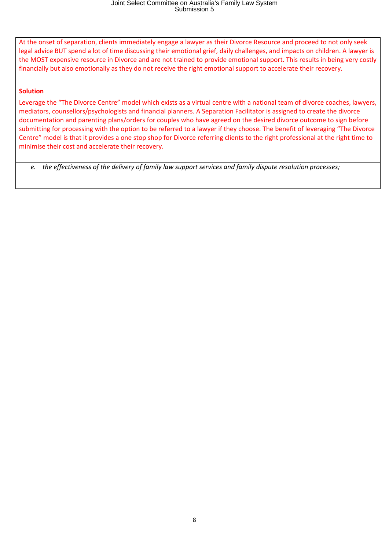At the onset of separation, clients immediately engage a lawyer as their Divorce Resource and proceed to not only seek legal advice BUT spend a lot of time discussing their emotional grief, daily challenges, and impacts on children. A lawyer is the MOST expensive resource in Divorce and are not trained to provide emotional support. This results in being very costly financially but also emotionally as they do not receive the right emotional support to accelerate their recovery.

#### **Solution**

Leverage the "The Divorce Centre" model which exists as a virtual centre with a national team of divorce coaches, lawyers, mediators, counsellors/psychologists and financial planners. A Separation Facilitator is assigned to create the divorce documentation and parenting plans/orders for couples who have agreed on the desired divorce outcome to sign before submitting for processing with the option to be referred to a lawyer if they choose. The benefit of leveraging "The Divorce Centre" model is that it provides a one stop shop for Divorce referring clients to the right professional at the right time to minimise their cost and accelerate their recovery.

*e. the effectiveness of the delivery of family law support services and family dispute resolution processes;*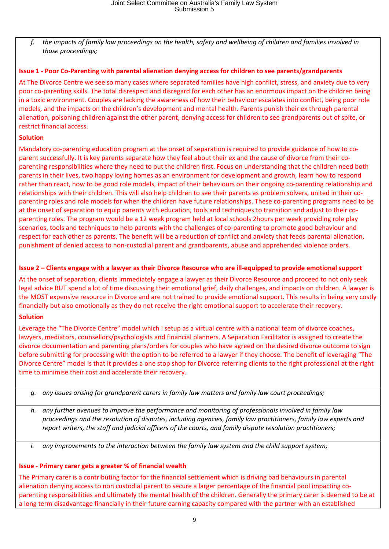f. the impacts of family law proceedings on the health, safety and wellbeing of children and families involved in *those proceedings;*

### **Issue 1 - Poor Co-Parenting with parental alienation denying access for children to see parents/grandparents**

At The Divorce Centre we see so many cases where separated families have high conflict, stress, and anxiety due to very poor co-parenting skills. The total disrespect and disregard for each other has an enormous impact on the children being in a toxic environment. Couples are lacking the awareness of how their behaviour escalates into conflict, being poor role models, and the impacts on the children's development and mental health. Parents punish their ex through parental alienation, poisoning children against the other parent, denying access for children to see grandparents out of spite, or restrict financial access.

#### **Solution**

Mandatory co-parenting education program at the onset of separation is required to provide guidance of how to coparent successfully. It is key parents separate how they feel about their ex and the cause of divorce from their coparenting responsibilities where they need to put the children first. Focus on understanding that the children need both parents in their lives, two happy loving homes as an environment for development and growth, learn how to respond rather than react, how to be good role models, impact of their behaviours on their ongoing co-parenting relationship and relationships with their children. This will also help children to see their parents as problem solvers, united in their coparenting roles and role models for when the children have future relationships. These co-parenting programs need to be at the onset of separation to equip parents with education, tools and techniques to transition and adjust to their coparenting roles. The program would be a 12 week program held at local schools 2hours per week providing role play scenarios, tools and techniques to help parents with the challenges of co-parenting to promote good behaviour and respect for each other as parents. The benefit will be a reduction of conflict and anxiety that feeds parental alienation, punishment of denied access to non-custodial parent and grandparents, abuse and apprehended violence orders.

# Issue 2 – Clients engage with a lawyer as their Divorce Resource who are ill-equipped to provide emotional support

At the onset of separation, clients immediately engage a lawyer as their Divorce Resource and proceed to not only seek legal advice BUT spend a lot of time discussing their emotional grief, daily challenges, and impacts on children. A lawyer is the MOST expensive resource in Divorce and are not trained to provide emotional support. This results in being very costly financially but also emotionally as they do not receive the right emotional support to accelerate their recovery.

# **Solution**

Leverage the "The Divorce Centre" model which I setup as a virtual centre with a national team of divorce coaches, lawyers, mediators, counsellors/psychologists and financial planners. A Separation Facilitator is assigned to create the divorce documentation and parenting plans/orders for couples who have agreed on the desired divorce outcome to sign before submitting for processing with the option to be referred to a lawyer if they choose. The benefit of leveraging "The Divorce Centre" model is that it provides a one stop shop for Divorce referring clients to the right professional at the right time to minimise their cost and accelerate their recovery.

- *g. any issues arising for grandparent carers in family law matters and family law court proceedings;*
- *h. any further avenues to improve the performance and monitoring of professionals involved in family law proceedings and the resolution of disputes, including agencies, family law practitioners, family law experts and report writers, the staff and judicial officers of the courts, and family dispute resolution practitioners;*
- *i. any improvements to the interaction between the family law system and the child support system;*

# **Issue - Primary carer gets a greater % of financial wealth**

The Primary carer is a contributing factor for the financial settlement which is driving bad behaviours in parental alienation denying access to non custodial parent to secure a larger percentage of the financial pool impacting coparenting responsibilities and ultimately the mental health of the children. Generally the primary carer is deemed to be at a long term disadvantage financially in their future earning capacity compared with the partner with an established